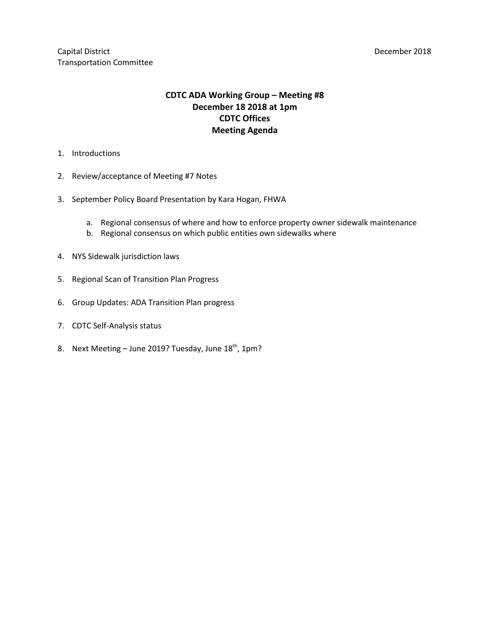Capital District **Capital District** December 2018 Transportation Committee

# **CDTC ADA Working Group – Meeting #8 December 18 2018 at 1pm CDTC Offices Meeting Agenda**

- 1. Introductions
- 2. Review/acceptance of Meeting #7 Notes
- 3. September Policy Board Presentation by Kara Hogan, FHWA
	- a. Regional consensus of where and how to enforce property owner sidewalk maintenance
	- b. Regional consensus on which public entities own sidewalks where
- 4. NYS Sidewalk jurisdiction laws
- 5. Regional Scan of Transition Plan Progress
- 6. Group Updates: ADA Transition Plan progress
- 7. CDTC Self-Analysis status
- 8. Next Meeting June 2019? Tuesday, June 18<sup>th</sup>, 1pm?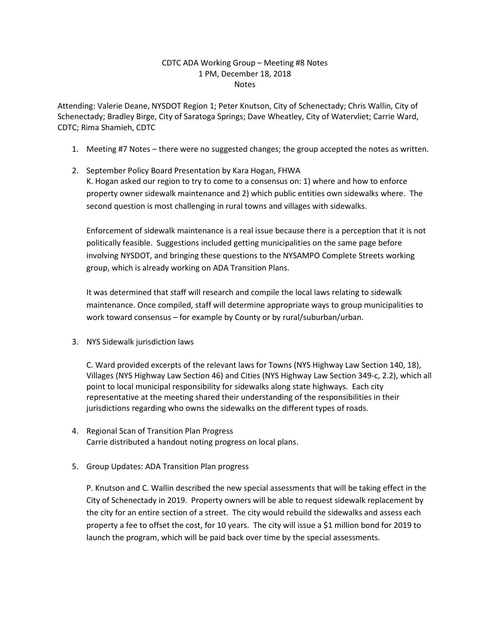#### CDTC ADA Working Group – Meeting #8 Notes 1 PM, December 18, 2018 Notes

Attending: Valerie Deane, NYSDOT Region 1; Peter Knutson, City of Schenectady; Chris Wallin, City of Schenectady; Bradley Birge, City of Saratoga Springs; Dave Wheatley, City of Watervliet; Carrie Ward, CDTC; Rima Shamieh, CDTC

- 1. Meeting #7 Notes there were no suggested changes; the group accepted the notes as written.
- 2. September Policy Board Presentation by Kara Hogan, FHWA K. Hogan asked our region to try to come to a consensus on: 1) where and how to enforce property owner sidewalk maintenance and 2) which public entities own sidewalks where. The second question is most challenging in rural towns and villages with sidewalks.

Enforcement of sidewalk maintenance is a real issue because there is a perception that it is not politically feasible. Suggestions included getting municipalities on the same page before involving NYSDOT, and bringing these questions to the NYSAMPO Complete Streets working group, which is already working on ADA Transition Plans.

It was determined that staff will research and compile the local laws relating to sidewalk maintenance. Once compiled, staff will determine appropriate ways to group municipalities to work toward consensus – for example by County or by rural/suburban/urban.

3. NYS Sidewalk jurisdiction laws

C. Ward provided excerpts of the relevant laws for Towns (NYS Highway Law Section 140, 18), Villages (NYS Highway Law Section 46) and Cities (NYS Highway Law Section 349-c, 2.2), which all point to local municipal responsibility for sidewalks along state highways. Each city representative at the meeting shared their understanding of the responsibilities in their jurisdictions regarding who owns the sidewalks on the different types of roads.

- 4. Regional Scan of Transition Plan Progress Carrie distributed a handout noting progress on local plans.
- 5. Group Updates: ADA Transition Plan progress

P. Knutson and C. Wallin described the new special assessments that will be taking effect in the City of Schenectady in 2019. Property owners will be able to request sidewalk replacement by the city for an entire section of a street. The city would rebuild the sidewalks and assess each property a fee to offset the cost, for 10 years. The city will issue a \$1 million bond for 2019 to launch the program, which will be paid back over time by the special assessments.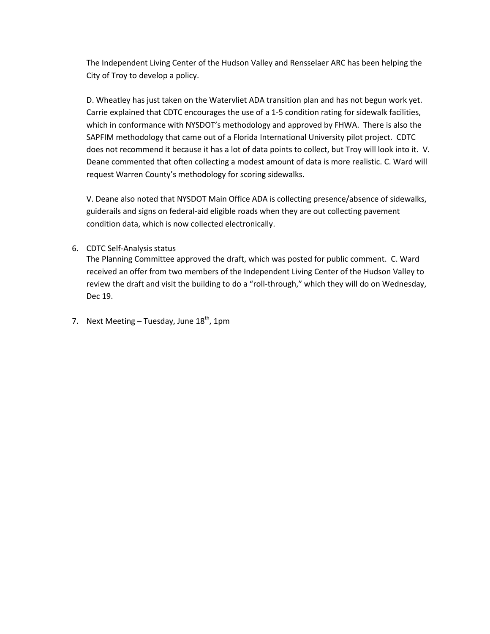The Independent Living Center of the Hudson Valley and Rensselaer ARC has been helping the City of Troy to develop a policy.

D. Wheatley has just taken on the Watervliet ADA transition plan and has not begun work yet. Carrie explained that CDTC encourages the use of a 1-5 condition rating for sidewalk facilities, which in conformance with NYSDOT's methodology and approved by FHWA. There is also the SAPFIM methodology that came out of a Florida International University pilot project. CDTC does not recommend it because it has a lot of data points to collect, but Troy will look into it. V. Deane commented that often collecting a modest amount of data is more realistic. C. Ward will request Warren County's methodology for scoring sidewalks.

V. Deane also noted that NYSDOT Main Office ADA is collecting presence/absence of sidewalks, guiderails and signs on federal-aid eligible roads when they are out collecting pavement condition data, which is now collected electronically.

## 6. CDTC Self-Analysis status

The Planning Committee approved the draft, which was posted for public comment. C. Ward received an offer from two members of the Independent Living Center of the Hudson Valley to review the draft and visit the building to do a "roll-through," which they will do on Wednesday, Dec 19.

7. Next Meeting – Tuesday, June  $18<sup>th</sup>$ , 1pm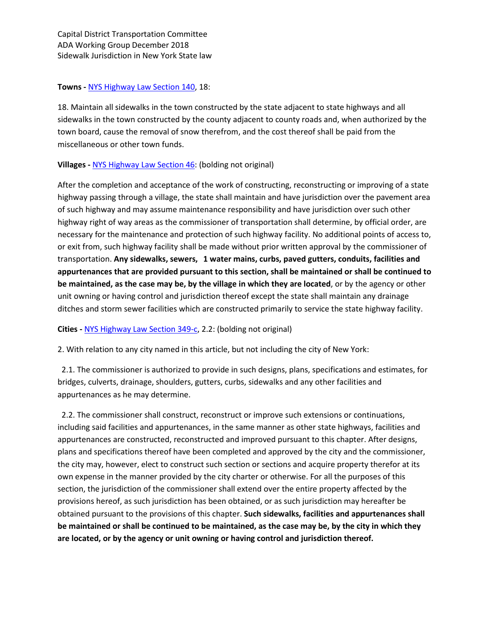Capital District Transportation Committee ADA Working Group December 2018 Sidewalk Jurisdiction in New York State law

#### **Towns -** [NYS Highway Law Section 140,](https://www.nysenate.gov/legislation/laws/HAY/140) 18:

18. Maintain all sidewalks in the town constructed by the state adjacent to state highways and all sidewalks in the town constructed by the county adjacent to county roads and, when authorized by the town board, cause the removal of snow therefrom, and the cost thereof shall be paid from the miscellaneous or other town funds.

## **Villages -** [NYS Highway Law Section 46:](https://codes.findlaw.com/ny/highway-law/hay-sect-46.html) (bolding not original)

After the completion and acceptance of the work of constructing, reconstructing or improving of a state highway passing through a village, the state shall maintain and have jurisdiction over the pavement area of such highway and may assume maintenance responsibility and have jurisdiction over such other highway right of way areas as the commissioner of transportation shall determine, by official order, are necessary for the maintenance and protection of such highway facility. No additional points of access to, or exit from, such highway facility shall be made without prior written approval by the commissioner of transportation. **Any sidewalks, sewers,   1 water mains, curbs, paved gutters, conduits, facilities and appurtenances that are provided pursuant to this section, shall be maintained or shall be continued to be maintained, as the case may be, by the village in which they are located**, or by the agency or other unit owning or having control and jurisdiction thereof except the state shall maintain any drainage ditches and storm sewer facilities which are constructed primarily to service the state highway facility.

#### **Cities -** [NYS Highway Law Section 349-c,](https://www.nysenate.gov/legislation/laws/HAY/349-C) 2.2: (bolding not original)

2. With relation to any city named in this article, but not including the city of New York:

 2.1. The commissioner is authorized to provide in such designs, plans, specifications and estimates, for bridges, culverts, drainage, shoulders, gutters, curbs, sidewalks and any other facilities and appurtenances as he may determine.

 2.2. The commissioner shall construct, reconstruct or improve such extensions or continuations, including said facilities and appurtenances, in the same manner as other state highways, facilities and appurtenances are constructed, reconstructed and improved pursuant to this chapter. After designs, plans and specifications thereof have been completed and approved by the city and the commissioner, the city may, however, elect to construct such section or sections and acquire property therefor at its own expense in the manner provided by the city charter or otherwise. For all the purposes of this section, the jurisdiction of the commissioner shall extend over the entire property affected by the provisions hereof, as such jurisdiction has been obtained, or as such jurisdiction may hereafter be obtained pursuant to the provisions of this chapter. **Such sidewalks, facilities and appurtenances shall be maintained or shall be continued to be maintained, as the case may be, by the city in which they are located, or by the agency or unit owning or having control and jurisdiction thereof.**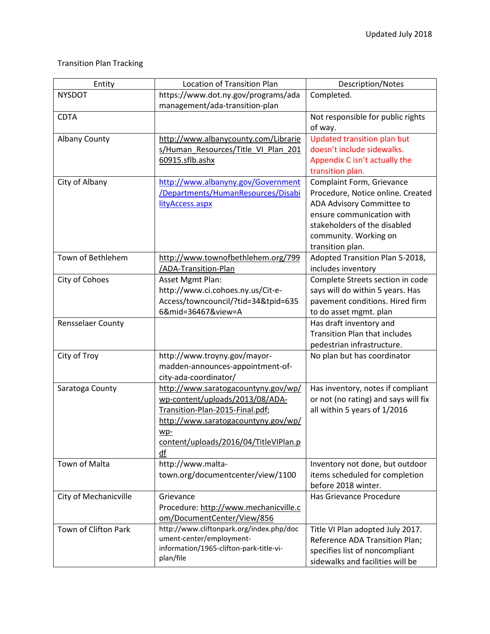# Transition Plan Tracking

| Entity                | <b>Location of Transition Plan</b>                     | Description/Notes                                 |
|-----------------------|--------------------------------------------------------|---------------------------------------------------|
| <b>NYSDOT</b>         | https://www.dot.ny.gov/programs/ada                    | Completed.                                        |
|                       | management/ada-transition-plan                         |                                                   |
| <b>CDTA</b>           |                                                        | Not responsible for public rights                 |
|                       |                                                        | of way.                                           |
| <b>Albany County</b>  | http://www.albanycounty.com/Librarie                   | <b>Updated transition plan but</b>                |
|                       | s/Human Resources/Title VI Plan 201                    | doesn't include sidewalks.                        |
|                       | 60915.sflb.ashx                                        | Appendix C isn't actually the                     |
|                       |                                                        | transition plan.                                  |
| City of Albany        | http://www.albanyny.gov/Government                     | Complaint Form, Grievance                         |
|                       | /Departments/HumanResources/Disabi                     | Procedure, Notice online. Created                 |
|                       | lityAccess.aspx                                        | ADA Advisory Committee to                         |
|                       |                                                        | ensure communication with                         |
|                       |                                                        | stakeholders of the disabled                      |
|                       |                                                        | community. Working on                             |
| Town of Bethlehem     |                                                        | transition plan.                                  |
|                       | http://www.townofbethlehem.org/799                     | Adopted Transition Plan 5-2018,                   |
|                       | /ADA-Transition-Plan                                   | includes inventory                                |
| City of Cohoes        | Asset Mgmt Plan:                                       | Complete Streets section in code                  |
|                       | http://www.ci.cohoes.ny.us/Cit-e-                      | says will do within 5 years. Has                  |
|                       | Access/towncouncil/?tid=34&tpid=635<br>6∣=36467&view=A | pavement conditions. Hired firm                   |
| Rensselaer County     |                                                        | to do asset mgmt. plan<br>Has draft inventory and |
|                       |                                                        | <b>Transition Plan that includes</b>              |
|                       |                                                        | pedestrian infrastructure.                        |
| City of Troy          | http://www.troyny.gov/mayor-                           | No plan but has coordinator                       |
|                       | madden-announces-appointment-of-                       |                                                   |
|                       | city-ada-coordinator/                                  |                                                   |
| Saratoga County       | http://www.saratogacountyny.gov/wp/                    | Has inventory, notes if compliant                 |
|                       | wp-content/uploads/2013/08/ADA-                        | or not (no rating) and says will fix              |
|                       | Transition-Plan-2015-Final.pdf;                        | all within 5 years of 1/2016                      |
|                       | http://www.saratogacountyny.gov/wp/                    |                                                   |
|                       | wp-                                                    |                                                   |
|                       | content/uploads/2016/04/TitleVIPlan.p                  |                                                   |
|                       | df                                                     |                                                   |
| Town of Malta         | http://www.malta-                                      | Inventory not done, but outdoor                   |
|                       | town.org/documentcenter/view/1100                      | items scheduled for completion                    |
|                       |                                                        | before 2018 winter.                               |
| City of Mechanicville | Grievance                                              | Has Grievance Procedure                           |
|                       | Procedure: http://www.mechanicville.c                  |                                                   |
|                       | om/DocumentCenter/View/856                             |                                                   |
| Town of Clifton Park  | http://www.cliftonpark.org/index.php/doc               | Title VI Plan adopted July 2017.                  |
|                       | ument-center/employment-                               | Reference ADA Transition Plan;                    |
|                       | information/1965-clifton-park-title-vi-                | specifies list of noncompliant                    |
|                       | plan/file                                              | sidewalks and facilities will be                  |